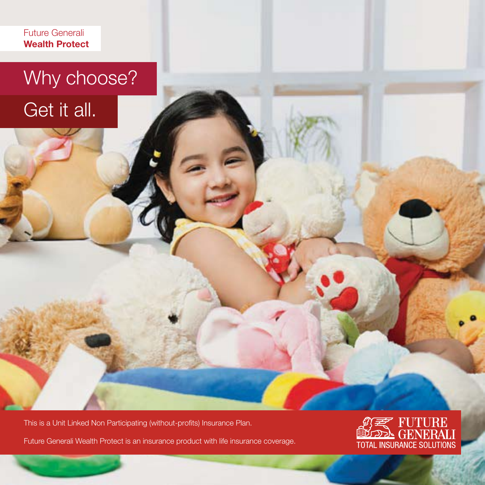Future Generali **Wealth Protect**

# Why choose? Get it all.

This is a Unit Linked Non Participating (without-profits) Insurance Plan.

Future Generali Wealth Protect is an insurance product with life insurance coverage.

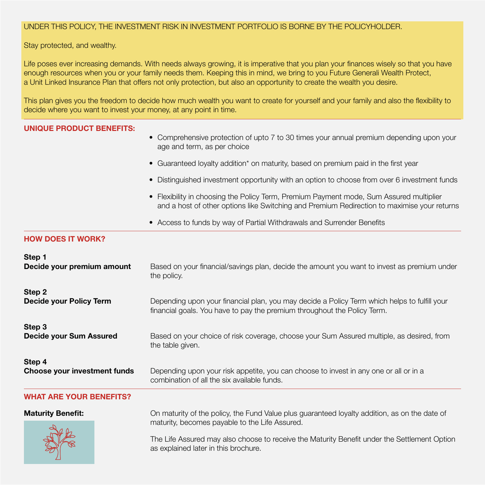# UNDER THIS POLICY, THE INVESTMENT RISK IN INVESTMENT PORTFOLIO IS BORNE BY THE POLICYHOLDER.

Stay protected, and wealthy.

Life poses ever increasing demands. With needs always growing, it is imperative that you plan your finances wisely so that you have enough resources when you or your family needs them. Keeping this in mind, we bring to you Future Generali Wealth Protect, a Unit Linked Insurance Plan that offers not only protection, but also an opportunity to create the wealth you desire.

This plan gives you the freedom to decide how much wealth you want to create for yourself and your family and also the flexibility to decide where you want to invest your money, at any point in time.

# **UNIQUE PRODUCT BENEFITS:**

- Comprehensive protection of upto 7 to 30 times your annual premium depending upon your age and term, as per choice
- Guaranteed loyalty addition\* on maturity, based on premium paid in the first year
- Distinguished investment opportunity with an option to choose from over 6 investment funds
- Flexibility in choosing the Policy Term, Premium Payment mode, Sum Assured multiplier and a host of other options like Switching and Premium Redirection to maximise your returns
- Access to funds by way of Partial Withdrawals and Surrender Benefits

# **HOW DOES IT WORK?**

| Step 1                         | Based on your financial/savings plan, decide the amount you want to invest as premium under                                                     |  |  |
|--------------------------------|-------------------------------------------------------------------------------------------------------------------------------------------------|--|--|
| Decide your premium amount     | the policy.                                                                                                                                     |  |  |
| Step 2                         | Depending upon your financial plan, you may decide a Policy Term which helps to fulfill your                                                    |  |  |
| Decide your Policy Term        | financial goals. You have to pay the premium throughout the Policy Term.                                                                        |  |  |
| Step 3                         | Based on your choice of risk coverage, choose your Sum Assured multiple, as desired, from                                                       |  |  |
| Decide your Sum Assured        | the table given.                                                                                                                                |  |  |
| Step 4                         | Depending upon your risk appetite, you can choose to invest in any one or all or in a                                                           |  |  |
| Choose your investment funds   | combination of all the six available funds.                                                                                                     |  |  |
| <b>WHAT ARE YOUR BENEFITS?</b> |                                                                                                                                                 |  |  |
| <b>Maturity Benefit:</b>       | On maturity of the policy, the Fund Value plus guaranteed loyalty addition, as on the date of<br>maturity, becomes payable to the Life Assured. |  |  |
|                                | The Life Assured may also choose to receive the Maturity Benefit under the Settlement Option<br>as explained later in this brochure.            |  |  |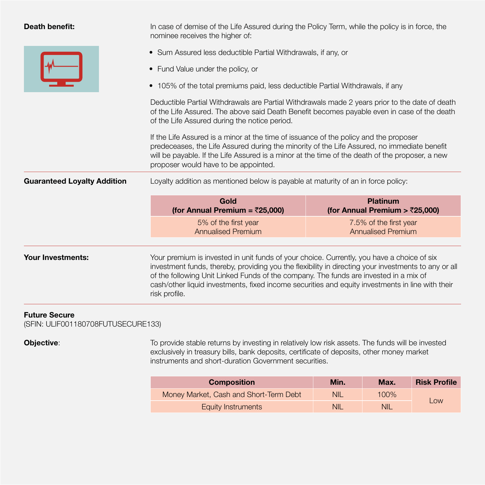| Death benefit: |
|----------------|
|                |

In case of demise of the Life Assured during the Policy Term, while the policy is in force, the nominee receives the higher of:

- Sum Assured less deductible Partial Withdrawals, if any, or
- Fund Value under the policy, or
- 105% of the total premiums paid, less deductible Partial Withdrawals, if any

 Deductible Partial Withdrawals are Partial Withdrawals made 2 years prior to the date of death of the Life Assured. The above said Death Benefit becomes payable even in case of the death of the Life Assured during the notice period.

 If the Life Assured is a minor at the time of issuance of the policy and the proposer predeceases, the Life Assured during the minority of the Life Assured, no immediate benefit will be payable. If the Life Assured is a minor at the time of the death of the proposer, a new proposer would have to be appointed.

**Guaranteed Loyalty Addition** Loyalty addition as mentioned below is payable at maturity of an in force policy:

| Gold<br>(for Annual Premium = $\bar{\zeta}$ 25,000) |
|-----------------------------------------------------|
| 5% of the first year<br><b>Annualised Premium</b>   |

**Your Investments:** Your premium is invested in unit funds of your choice. Currently, you have a choice of six investment funds, thereby, providing you the flexibility in directing your investments to any or all of the following Unit Linked Funds of the company. The funds are invested in a mix of cash/other liquid investments, fixed income securities and equity investments in line with their risk profile.

### **Future Secure**

(SFIN: ULIF001180708FUTUSECURE133)

**Objective**: To provide stable returns by investing in relatively low risk assets. The funds will be invested exclusively in treasury bills, bank deposits, certificate of deposits, other money market instruments and short-duration Government securities.

| <b>Composition</b>                     | Min.       | Max.       | <b>Risk Profile</b> |  |
|----------------------------------------|------------|------------|---------------------|--|
| Money Market, Cash and Short-Term Debt | <b>NIL</b> | 100%       |                     |  |
| Equity Instruments                     | <b>NIL</b> | <b>NIL</b> | Low                 |  |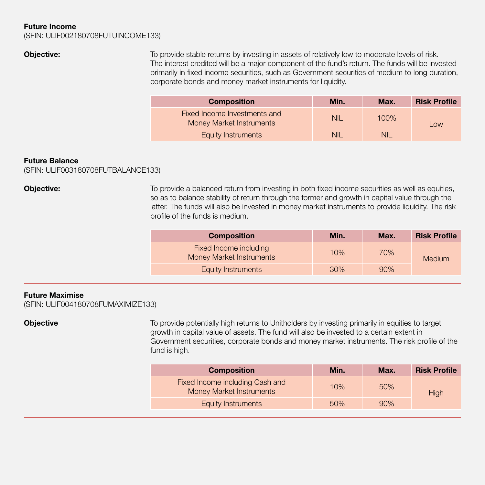# **Future Income**

(SFIN: ULIF002180708FUTUINCOME133)

**Objective:** To provide stable returns by investing in assets of relatively low to moderate levels of risk. The interest credited will be a major component of the fund's return. The funds will be invested primarily in fixed income securities, such as Government securities of medium to long duration, corporate bonds and money market instruments for liquidity.

| <b>Composition</b>                                              | Min. | Max.    | <b>Risk Profile</b> |  |
|-----------------------------------------------------------------|------|---------|---------------------|--|
| Fixed Income Investments and<br><b>Money Market Instruments</b> | NII. | $100\%$ | Low                 |  |
| Equity Instruments                                              | NII. | NII     |                     |  |

# **Future Balance**

(SFIN: ULIF003180708FUTBALANCE133)

**Objective:** To provide a balanced return from investing in both fixed income securities as well as equities, so as to balance stability of return through the former and growth in capital value through the latter. The funds will also be invested in money market instruments to provide liquidity. The risk profile of the funds is medium.

| <b>Composition</b>                                 | Min. | Max. | <b>Risk Profile</b> |
|----------------------------------------------------|------|------|---------------------|
| Fixed Income including<br>Money Market Instruments | 10%  | 70%  | <b>Medium</b>       |
| Equity Instruments                                 | 30%  | 90%  |                     |

# **Future Maximise**

(SFIN: ULIF004180708FUMAXIMIZE133)

**Objective To provide potentially high returns to Unitholders by investing primarily in equities to target and the system of the system of the system of the system of the system of the system of the system of the system** growth in capital value of assets. The fund will also be invested to a certain extent in Government securities, corporate bonds and money market instruments. The risk profile of the fund is high.

| <b>Composition</b>                                          | Min. | Max. | <b>Risk Profile</b> |
|-------------------------------------------------------------|------|------|---------------------|
| Fixed Income including Cash and<br>Money Market Instruments | 10%  | 50%  | High                |
| <b>Equity Instruments</b>                                   | 50%  | 90%  |                     |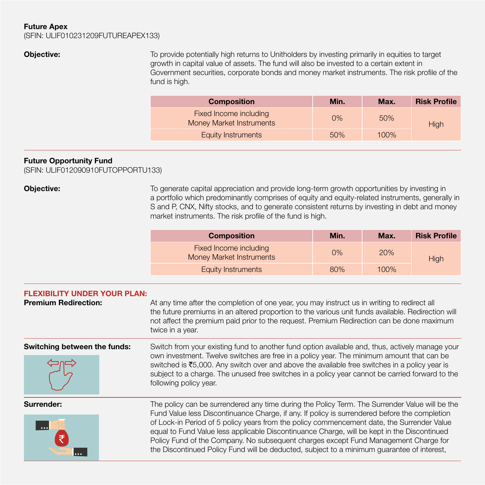# **Future Apex**

(SFIN: ULIF010231209FUTUREAPEX133)

**Objective:** To provide potentially high returns to Unitholders by investing primarily in equities to target growth in capital value of assets. The fund will also be invested to a certain extent in Government securities, corporate bonds and money market instruments. The risk profile of the fund is high.

| <b>Composition</b>                                        | Min.  | Max.    | <b>Risk Profile</b> |
|-----------------------------------------------------------|-------|---------|---------------------|
| Fixed Income including<br><b>Money Market Instruments</b> | $0\%$ | 50%     | High                |
| <b>Equity Instruments</b>                                 | 50%   | $100\%$ |                     |

# **Future Opportunity Fund**

(SFIN: ULIF012090910FUTOPPORTU133)

**Objective:** To generate capital appreciation and provide long-term growth opportunities by investing in a portfolio which predominantly comprises of equity and equity-related instruments, generally in S and P, CNX, Nifty stocks, and to generate consistent returns by investing in debt and money market instruments. The risk profile of the fund is high.

| <b>Composition</b>                                        | Min.  | Max. | <b>Risk Profile</b> |
|-----------------------------------------------------------|-------|------|---------------------|
| Fixed Income including<br><b>Money Market Instruments</b> | $0\%$ | 20%  | <b>High</b>         |
| <b>Equity Instruments</b>                                 | 80%   | 100% |                     |
|                                                           |       |      |                     |

| <b>FLEXIBILITY UNDER YOUR PLAN:</b><br><b>Premium Redirection:</b> | At any time after the completion of one year, you may instruct us in writing to redirect all<br>the future premiums in an altered proportion to the various unit funds available. Redirection will<br>not affect the premium paid prior to the request. Premium Redirection can be done maximum<br>twice in a year.                                                                                                                                                                                                                                                               |
|--------------------------------------------------------------------|-----------------------------------------------------------------------------------------------------------------------------------------------------------------------------------------------------------------------------------------------------------------------------------------------------------------------------------------------------------------------------------------------------------------------------------------------------------------------------------------------------------------------------------------------------------------------------------|
| Switching between the funds:                                       | Switch from your existing fund to another fund option available and, thus, actively manage your<br>own investment. Twelve switches are free in a policy year. The minimum amount that can be<br>switched is $\bar{z}5,000$ . Any switch over and above the available free switches in a policy year is<br>subject to a charge. The unused free switches in a policy year cannot be carried forward to the<br>following policy year.                                                                                                                                               |
| Surrender:                                                         | The policy can be surrendered any time during the Policy Term. The Surrender Value will be the<br>Fund Value less Discontinuance Charge, if any. If policy is surrendered before the completion<br>of Lock-in Period of 5 policy years from the policy commencement date, the Surrender Value<br>equal to Fund Value less applicable Discontinuance Charge, will be kept in the Discontinued<br>Policy Fund of the Company. No subsequent charges except Fund Management Charge for<br>the Discontinued Policy Fund will be deducted, subject to a minimum guarantee of interest, |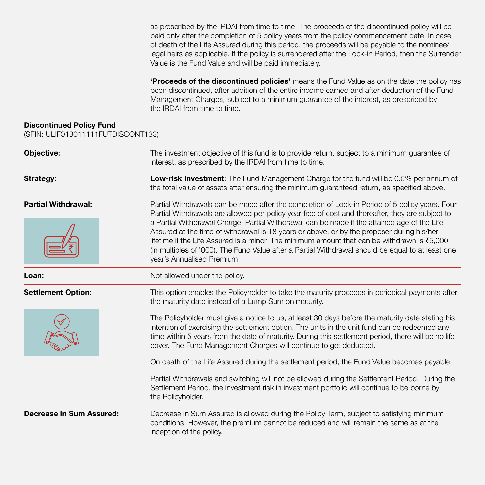as prescribed by the IRDAI from time to time. The proceeds of the discontinued policy will be paid only after the completion of 5 policy years from the policy commencement date. In case of death of the Life Assured during this period, the proceeds will be payable to the nominee/ legal heirs as applicable. If the policy is surrendered after the Lock-in Period, then the Surrender Value is the Fund Value and will be paid immediately.

**'Proceeds of the discontinued policies'** means the Fund Value as on the date the policy has been discontinued, after addition of the entire income earned and after deduction of the Fund Management Charges, subject to a minimum guarantee of the interest, as prescribed by the IRDAI from time to time.

# **Discontinued Policy Fund** (SFIN: ULIF013011111FUTDISCONT133)

| <b>Objective:</b>          | The investment objective of this fund is to provide return, subject to a minimum guarantee of<br>interest, as prescribed by the IRDAI from time to time.                                                                                                                                                                                                                                                                                                                                                                                                                                                                                            |  |  |
|----------------------------|-----------------------------------------------------------------------------------------------------------------------------------------------------------------------------------------------------------------------------------------------------------------------------------------------------------------------------------------------------------------------------------------------------------------------------------------------------------------------------------------------------------------------------------------------------------------------------------------------------------------------------------------------------|--|--|
| <b>Strategy:</b>           | <b>Low-risk Investment:</b> The Fund Management Charge for the fund will be 0.5% per annum of<br>the total value of assets after ensuring the minimum guaranteed return, as specified above.                                                                                                                                                                                                                                                                                                                                                                                                                                                        |  |  |
| <b>Partial Withdrawal:</b> | Partial Withdrawals can be made after the completion of Lock-in Period of 5 policy years. Four<br>Partial Withdrawals are allowed per policy year free of cost and thereafter, they are subject to<br>a Partial Withdrawal Charge. Partial Withdrawal can be made if the attained age of the Life<br>Assured at the time of withdrawal is 18 years or above, or by the proposer during his/her<br>lifetime if the Life Assured is a minor. The minimum amount that can be withdrawn is $\bar{\mathfrak{S}}5.000$<br>(in multiples of '000). The Fund Value after a Partial Withdrawal should be equal to at least one<br>year's Annualised Premium. |  |  |
| Loan:                      | Not allowed under the policy.                                                                                                                                                                                                                                                                                                                                                                                                                                                                                                                                                                                                                       |  |  |
| <b>Settlement Option:</b>  | This option enables the Policyholder to take the maturity proceeds in periodical payments after<br>the maturity date instead of a Lump Sum on maturity.                                                                                                                                                                                                                                                                                                                                                                                                                                                                                             |  |  |
|                            | The Policyholder must give a notice to us, at least 30 days before the maturity date stating his<br>intention of exercising the settlement option. The units in the unit fund can be redeemed any<br>time within 5 years from the date of maturity. During this settlement period, there will be no life<br>cover. The Fund Management Charges will continue to get deducted.                                                                                                                                                                                                                                                                       |  |  |
|                            | On death of the Life Assured during the settlement period, the Fund Value becomes payable.                                                                                                                                                                                                                                                                                                                                                                                                                                                                                                                                                          |  |  |
|                            | Partial Withdrawals and switching will not be allowed during the Settlement Period. During the<br>Settlement Period, the investment risk in investment portfolio will continue to be borne by<br>the Policyholder.                                                                                                                                                                                                                                                                                                                                                                                                                                  |  |  |
| Decrease in Sum Assured:   | Decrease in Sum Assured is allowed during the Policy Term, subject to satisfying minimum<br>conditions. However, the premium cannot be reduced and will remain the same as at the<br>inception of the policy.                                                                                                                                                                                                                                                                                                                                                                                                                                       |  |  |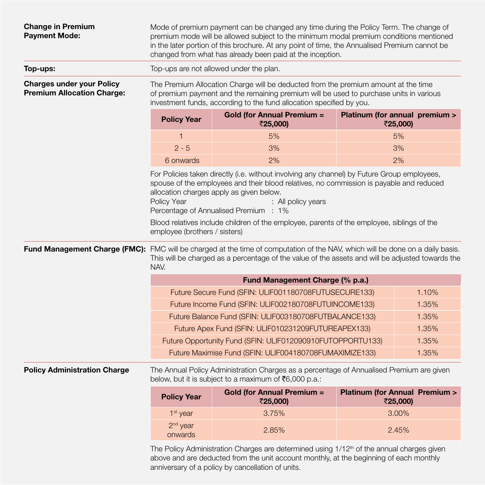| <b>Change in Premium</b><br><b>Payment Mode:</b>                      |                                                                                                                                                                                                                                                                                                                  | Mode of premium payment can be changed any time during the Policy Term. The change of<br>premium mode will be allowed subject to the minimum modal premium conditions mentioned<br>in the later portion of this brochure. At any point of time, the Annualised Premium cannot be<br>changed from what has already been paid at the inception. |                                                      |       |  |
|-----------------------------------------------------------------------|------------------------------------------------------------------------------------------------------------------------------------------------------------------------------------------------------------------------------------------------------------------------------------------------------------------|-----------------------------------------------------------------------------------------------------------------------------------------------------------------------------------------------------------------------------------------------------------------------------------------------------------------------------------------------|------------------------------------------------------|-------|--|
| Top-ups:                                                              |                                                                                                                                                                                                                                                                                                                  | Top-ups are not allowed under the plan.                                                                                                                                                                                                                                                                                                       |                                                      |       |  |
| <b>Charges under your Policy</b><br><b>Premium Allocation Charge:</b> |                                                                                                                                                                                                                                                                                                                  | The Premium Allocation Charge will be deducted from the premium amount at the time<br>of premium payment and the remaining premium will be used to purchase units in various<br>investment funds, according to the fund allocation specified by you.                                                                                          |                                                      |       |  |
|                                                                       | <b>Policy Year</b>                                                                                                                                                                                                                                                                                               | <b>Gold (for Annual Premium =</b><br>₹25,000)                                                                                                                                                                                                                                                                                                 | Platinum (for annual premium ><br>₹25,000)           |       |  |
|                                                                       | $\mathbf{1}$                                                                                                                                                                                                                                                                                                     | 5%                                                                                                                                                                                                                                                                                                                                            | 5%                                                   |       |  |
|                                                                       | $2 - 5$                                                                                                                                                                                                                                                                                                          | 3%                                                                                                                                                                                                                                                                                                                                            | 3%                                                   |       |  |
|                                                                       | 6 onwards                                                                                                                                                                                                                                                                                                        | 2%                                                                                                                                                                                                                                                                                                                                            | 2%                                                   |       |  |
|                                                                       | For Policies taken directly (i.e. without involving any channel) by Future Group employees,<br>spouse of the employees and their blood relatives, no commission is payable and reduced<br>allocation charges apply as given below.<br>Policy Year<br>: All policy years<br>Percentage of Annualised Premium : 1% |                                                                                                                                                                                                                                                                                                                                               |                                                      |       |  |
|                                                                       | employee (brothers / sisters)                                                                                                                                                                                                                                                                                    | Blood relatives include children of the employee, parents of the employee, siblings of the                                                                                                                                                                                                                                                    |                                                      |       |  |
|                                                                       | Fund Management Charge (FMC): FMC will be charged at the time of computation of the NAV, which will be done on a daily basis.<br>This will be charged as a percentage of the value of the assets and will be adjusted towards the<br>NAV.                                                                        |                                                                                                                                                                                                                                                                                                                                               |                                                      |       |  |
|                                                                       |                                                                                                                                                                                                                                                                                                                  | Fund Management Charge (% p.a.)                                                                                                                                                                                                                                                                                                               |                                                      |       |  |
|                                                                       | Future Secure Fund (SFIN: ULIF001180708FUTUSECURE133)<br>1.10%                                                                                                                                                                                                                                                   |                                                                                                                                                                                                                                                                                                                                               |                                                      |       |  |
|                                                                       | Future Income Fund (SFIN: ULIF002180708FUTUINCOME133)                                                                                                                                                                                                                                                            |                                                                                                                                                                                                                                                                                                                                               |                                                      | 1.35% |  |
|                                                                       | Future Balance Fund (SFIN: ULIF003180708FUTBALANCE133)<br>1.35%                                                                                                                                                                                                                                                  |                                                                                                                                                                                                                                                                                                                                               |                                                      |       |  |
|                                                                       | Future Apex Fund (SFIN: ULIF010231209FUTUREAPEX133)<br>1.35%                                                                                                                                                                                                                                                     |                                                                                                                                                                                                                                                                                                                                               |                                                      |       |  |
|                                                                       | 1.35%<br>Future Opportunity Fund (SFIN: ULIF012090910FUTOPPORTU133)                                                                                                                                                                                                                                              |                                                                                                                                                                                                                                                                                                                                               |                                                      |       |  |
|                                                                       | Future Maximise Fund (SFIN: ULIF004180708FUMAXIMIZE133)<br>1.35%                                                                                                                                                                                                                                                 |                                                                                                                                                                                                                                                                                                                                               |                                                      |       |  |
| <b>Policy Administration Charge</b>                                   |                                                                                                                                                                                                                                                                                                                  | The Annual Policy Administration Charges as a percentage of Annualised Premium are given<br>below, but it is subject to a maximum of ₹6,000 p.a.:                                                                                                                                                                                             |                                                      |       |  |
|                                                                       | <b>Policy Year</b>                                                                                                                                                                                                                                                                                               | <b>Gold (for Annual Premium =</b><br>₹25,000)                                                                                                                                                                                                                                                                                                 | <b>Platinum (for Annual Premium &gt;</b><br>₹25,000) |       |  |
|                                                                       | 1 <sup>st</sup> year                                                                                                                                                                                                                                                                                             | 3.75%                                                                                                                                                                                                                                                                                                                                         | 3.00%                                                |       |  |
|                                                                       | 2 <sup>nd</sup> year<br>onwards                                                                                                                                                                                                                                                                                  | 2.85%                                                                                                                                                                                                                                                                                                                                         | 2.45%                                                |       |  |
|                                                                       | $\sim$ $\cdot$                                                                                                                                                                                                                                                                                                   |                                                                                                                                                                                                                                                                                                                                               |                                                      |       |  |

The Policy Administration Charges are determined using 1/12<sup>th</sup> of the annual charges given above and are deducted from the unit account monthly, at the beginning of each monthly anniversary of a policy by cancellation of units.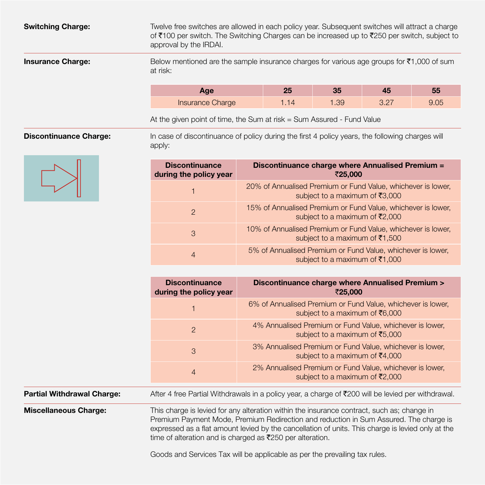**Switching Charge:** Twelve free switches are allowed in each policy year. Subsequent switches will attract a charge of ₹100 per switch. The Switching Charges can be increased up to ₹250 per switch, subject to approval by the IRDAI. **Insurance Charge:** Below mentioned are the sample insurance charges for various age groups for ₹1,000 of sum at risk:

| Age                     | 35  | 43              | 55   |
|-------------------------|-----|-----------------|------|
| <b>Insurance Charge</b> | .39 | רמ פ<br>. ے ، ب | 9.05 |

At the given point of time, the Sum at risk = Sum Assured - Fund Value

**Discontinuance Charge:** In case of discontinuance of policy during the first 4 policy years, the following charges will apply:

| Discontinuance charge where Annualised Premium =<br>₹25,000                                                       |
|-------------------------------------------------------------------------------------------------------------------|
| 20% of Annualised Premium or Fund Value, whichever is lower,<br>subject to a maximum of ₹3,000                    |
| 15% of Annualised Premium or Fund Value, whichever is lower,<br>subject to a maximum of $\bar{\mathfrak{r}}2,000$ |
| 10% of Annualised Premium or Fund Value, whichever is lower,<br>subject to a maximum of ₹1,500                    |
| 5% of Annualised Premium or Fund Value, whichever is lower,<br>subject to a maximum of ₹1,000                     |
|                                                                                                                   |

|                                | <b>Discontinuance</b><br>during the policy year | Discontinuance charge where Annualised Premium ><br>₹25,000                                                                  |
|--------------------------------|-------------------------------------------------|------------------------------------------------------------------------------------------------------------------------------|
|                                |                                                 | 6% of Annualised Premium or Fund Value, whichever is lower,<br>subject to a maximum of $\bar{\mathfrak{g}}_{6,000}$          |
|                                | $\overline{2}$                                  | 4% Annualised Premium or Fund Value, whichever is lower,<br>subject to a maximum of $\bar{z}5,000$                           |
|                                | 3                                               | 3% Annualised Premium or Fund Value, whichever is lower,<br>subject to a maximum of $\bar{c}4,000$                           |
|                                | 4                                               | 2% Annualised Premium or Fund Value, whichever is lower,<br>subject to a maximum of ₹2,000                                   |
| . مسمح المسمحة المنابة المنابة |                                                 | $\frac{1}{2}$ or $\frac{1}{2}$ from Dortial Withdrawala in a policy waar a aborge of $\pm$ 000 will be lovied par withdrawal |

**Partial Withdrawal Charge:** After 4 free Partial Withdrawals in a policy year, a charge of ₹200 will be levied per withdrawal.

**Miscellaneous Charge:** This charge is levied for any alteration within the insurance contract, such as; change in Premium Payment Mode, Premium Redirection and reduction in Sum Assured. The charge is expressed as a flat amount levied by the cancellation of units. This charge is levied only at the time of alteration and is charged as  $\bar{\mathcal{F}}$ 250 per alteration.

Goods and Services Tax will be applicable as per the prevailing tax rules.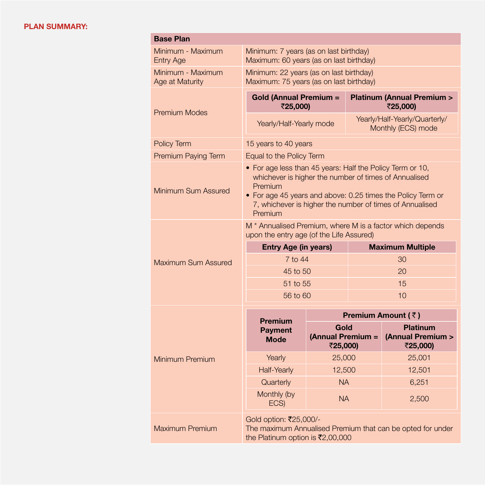# **PLAN SUMMARY:**

| <b>Base Plan</b>                      |                                                                                                                                                                                                                                                                     |                                       |                         |                                                  |  |
|---------------------------------------|---------------------------------------------------------------------------------------------------------------------------------------------------------------------------------------------------------------------------------------------------------------------|---------------------------------------|-------------------------|--------------------------------------------------|--|
| Minimum - Maximum<br><b>Entry Age</b> | Minimum: 7 years (as on last birthday)<br>Maximum: 60 years (as on last birthday)                                                                                                                                                                                   |                                       |                         |                                                  |  |
| Minimum - Maximum<br>Age at Maturity  | Minimum: 22 years (as on last birthday)<br>Maximum: 75 years (as on last birthday)                                                                                                                                                                                  |                                       |                         |                                                  |  |
| <b>Premium Modes</b>                  | <b>Gold (Annual Premium =</b><br>₹25,000)                                                                                                                                                                                                                           |                                       |                         | <b>Platinum (Annual Premium &gt;</b><br>₹25,000) |  |
|                                       | Yearly/Half-Yearly/Quarterly/<br>Yearly/Half-Yearly mode<br>Monthly (ECS) mode                                                                                                                                                                                      |                                       |                         |                                                  |  |
| Policy Term                           | 15 years to 40 years                                                                                                                                                                                                                                                |                                       |                         |                                                  |  |
| Premium Paying Term                   |                                                                                                                                                                                                                                                                     | Equal to the Policy Term              |                         |                                                  |  |
| Minimum Sum Assured                   | • For age less than 45 years: Half the Policy Term or 10,<br>whichever is higher the number of times of Annualised<br>Premium<br>• For age 45 years and above: 0.25 times the Policy Term or<br>7, whichever is higher the number of times of Annualised<br>Premium |                                       |                         |                                                  |  |
|                                       | M <sup>*</sup> Annualised Premium, where M is a factor which depends<br>upon the entry age (of the Life Assured)                                                                                                                                                    |                                       |                         |                                                  |  |
|                                       | <b>Entry Age (in years)</b>                                                                                                                                                                                                                                         |                                       | <b>Maximum Multiple</b> |                                                  |  |
| Maximum Sum Assured                   | 7 to 44<br>45 to 50                                                                                                                                                                                                                                                 |                                       | 30<br>20                |                                                  |  |
|                                       | 51 to 55                                                                                                                                                                                                                                                            |                                       | 15                      |                                                  |  |
|                                       | 56 to 60                                                                                                                                                                                                                                                            |                                       |                         | 10                                               |  |
|                                       |                                                                                                                                                                                                                                                                     |                                       |                         | Premium Amount (₹)                               |  |
|                                       | <b>Premium</b><br><b>Payment</b><br><b>Mode</b>                                                                                                                                                                                                                     | Gold<br>(Annual Premium =<br>₹25,000) |                         | <b>Platinum</b><br>(Annual Premium ><br>₹25,000) |  |
| Minimum Premium                       | Yearly                                                                                                                                                                                                                                                              | 25,000                                |                         | 25,001                                           |  |
|                                       | <b>Half-Yearly</b>                                                                                                                                                                                                                                                  | 12,500                                |                         | 12,501                                           |  |
|                                       | Quarterly                                                                                                                                                                                                                                                           | <b>NA</b>                             |                         | 6,251                                            |  |
|                                       | Monthly (by<br>ECS)                                                                                                                                                                                                                                                 | <b>NA</b>                             |                         | 2,500                                            |  |
| <b>Maximum Premium</b>                | Gold option: ₹25,000/-<br>The maximum Annualised Premium that can be opted for under<br>the Platinum option is ₹2,00,000                                                                                                                                            |                                       |                         |                                                  |  |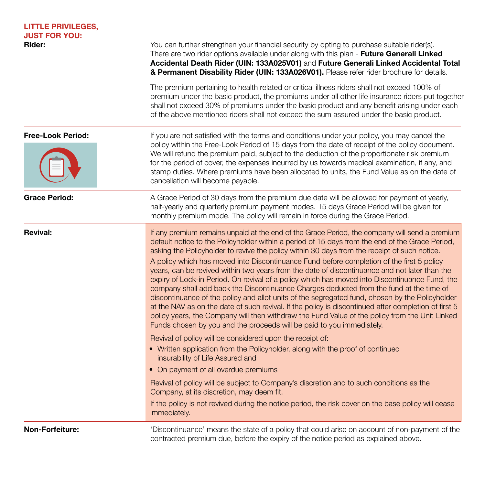| <b>LITTLE PRIVILEGES,</b><br><b>JUST FOR YOU:</b><br>Rider: | You can further strengthen your financial security by opting to purchase suitable rider(s).<br>There are two rider options available under along with this plan - Future Generali Linked<br>Accidental Death Rider (UIN: 133A025V01) and Future Generali Linked Accidental Total<br>& Permanent Disability Rider (UIN: 133A026V01). Please refer rider brochure for details.                                                                                                                                                                                                                                                                                                                                                                                                                                                                                                                                                                                                                                                                                                      |
|-------------------------------------------------------------|-----------------------------------------------------------------------------------------------------------------------------------------------------------------------------------------------------------------------------------------------------------------------------------------------------------------------------------------------------------------------------------------------------------------------------------------------------------------------------------------------------------------------------------------------------------------------------------------------------------------------------------------------------------------------------------------------------------------------------------------------------------------------------------------------------------------------------------------------------------------------------------------------------------------------------------------------------------------------------------------------------------------------------------------------------------------------------------|
|                                                             | The premium pertaining to health related or critical illness riders shall not exceed 100% of<br>premium under the basic product, the premiums under all other life insurance riders put together<br>shall not exceed 30% of premiums under the basic product and any benefit arising under each<br>of the above mentioned riders shall not exceed the sum assured under the basic product.                                                                                                                                                                                                                                                                                                                                                                                                                                                                                                                                                                                                                                                                                        |
| <b>Free-Look Period:</b>                                    | If you are not satisfied with the terms and conditions under your policy, you may cancel the<br>policy within the Free-Look Period of 15 days from the date of receipt of the policy document.<br>We will refund the premium paid, subject to the deduction of the proportionate risk premium<br>for the period of cover, the expenses incurred by us towards medical examination, if any, and<br>stamp duties. Where premiums have been allocated to units, the Fund Value as on the date of<br>cancellation will become payable.                                                                                                                                                                                                                                                                                                                                                                                                                                                                                                                                                |
| <b>Grace Period:</b>                                        | A Grace Period of 30 days from the premium due date will be allowed for payment of yearly,<br>half-yearly and quarterly premium payment modes. 15 days Grace Period will be given for<br>monthly premium mode. The policy will remain in force during the Grace Period.                                                                                                                                                                                                                                                                                                                                                                                                                                                                                                                                                                                                                                                                                                                                                                                                           |
| <b>Revival:</b>                                             | If any premium remains unpaid at the end of the Grace Period, the company will send a premium<br>default notice to the Policyholder within a period of 15 days from the end of the Grace Period,<br>asking the Policyholder to revive the policy within 30 days from the receipt of such notice.<br>A policy which has moved into Discontinuance Fund before completion of the first 5 policy<br>years, can be revived within two years from the date of discontinuance and not later than the<br>expiry of Lock-in Period. On revival of a policy which has moved into Discontinuance Fund, the<br>company shall add back the Discontinuance Charges deducted from the fund at the time of<br>discontinuance of the policy and allot units of the segregated fund, chosen by the Policyholder<br>at the NAV as on the date of such revival. If the policy is discontinued after completion of first 5<br>policy years, the Company will then withdraw the Fund Value of the policy from the Unit Linked<br>Funds chosen by you and the proceeds will be paid to you immediately. |
|                                                             | Revival of policy will be considered upon the receipt of:<br>• Written application from the Policyholder, along with the proof of continued<br>insurability of Life Assured and<br>• On payment of all overdue premiums                                                                                                                                                                                                                                                                                                                                                                                                                                                                                                                                                                                                                                                                                                                                                                                                                                                           |
|                                                             | Revival of policy will be subject to Company's discretion and to such conditions as the<br>Company, at its discretion, may deem fit.<br>If the policy is not revived during the notice period, the risk cover on the base policy will cease<br>immediately.                                                                                                                                                                                                                                                                                                                                                                                                                                                                                                                                                                                                                                                                                                                                                                                                                       |
| Non-Forfeiture:                                             | 'Discontinuance' means the state of a policy that could arise on account of non-payment of the<br>contracted premium due, before the expiry of the notice period as explained above.                                                                                                                                                                                                                                                                                                                                                                                                                                                                                                                                                                                                                                                                                                                                                                                                                                                                                              |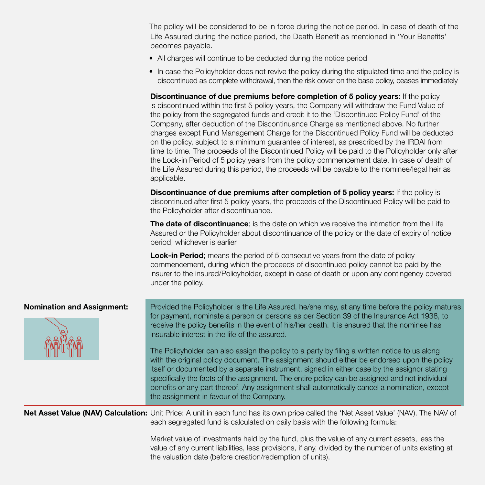The policy will be considered to be in force during the notice period. In case of death of the Life Assured during the notice period, the Death Benefit as mentioned in 'Your Benefits' becomes payable.

- All charges will continue to be deducted during the notice period
- In case the Policyholder does not revive the policy during the stipulated time and the policy is discontinued as complete withdrawal, then the risk cover on the base policy, ceases immediately

**Discontinuance of due premiums before completion of 5 policy years:** If the policy is discontinued within the first 5 policy years, the Company will withdraw the Fund Value of the policy from the segregated funds and credit it to the 'Discontinued Policy Fund' of the Company, after deduction of the Discontinuance Charge as mentioned above. No further charges except Fund Management Charge for the Discontinued Policy Fund will be deducted on the policy, subject to a minimum guarantee of interest, as prescribed by the IRDAI from time to time. The proceeds of the Discontinued Policy will be paid to the Policyholder only after the Lock-in Period of 5 policy years from the policy commencement date. In case of death of the Life Assured during this period, the proceeds will be payable to the nominee/legal heir as applicable.

**Discontinuance of due premiums after completion of 5 policy years:** If the policy is discontinued after first 5 policy years, the proceeds of the Discontinued Policy will be paid to the Policyholder after discontinuance.

**The date of discontinuance**; is the date on which we receive the intimation from the Life Assured or the Policyholder about discontinuance of the policy or the date of expiry of notice period, whichever is earlier.

**Lock-in Period**; means the period of 5 consecutive years from the date of policy commencement, during which the proceeds of discontinued policy cannot be paid by the insurer to the insured/Policyholder, except in case of death or upon any contingency covered under the policy.

| <b>Nomination and Assignment:</b> | Provided the Policyholder is the Life Assured, he/she may, at any time before the policy matures<br>for payment, nominate a person or persons as per Section 39 of the Insurance Act 1938, to<br>receive the policy benefits in the event of his/her death. It is ensured that the nominee has<br>insurable interest in the life of the assured. |  |  |
|-----------------------------------|--------------------------------------------------------------------------------------------------------------------------------------------------------------------------------------------------------------------------------------------------------------------------------------------------------------------------------------------------|--|--|
|                                   | The Policyholder can also assign the policy to a party by filing a written notice to us along<br>with the original policy document. The assignment should either be endorsed upon the policy                                                                                                                                                     |  |  |
|                                   | itself or documented by a separate instrument, signed in either case by the assignor stating<br>specifically the facts of the assignment. The entire policy can be assigned and not individual<br>benefits or any part thereof. Any assignment shall automatically cancel a nomination, except<br>the assignment in favour of the Company.       |  |  |
|                                   | Net Asset Value (NAV) Calculation: Unit Price: A unit in each fund has its own price called the 'Net Asset Value' (NAV). The NAV of                                                                                                                                                                                                              |  |  |

each segregated fund is calculated on daily basis with the following formula: Market value of investments held by the fund, plus the value of any current assets, less the

value of any current liabilities, less provisions, if any, divided by the number of units existing at the valuation date (before creation/redemption of units).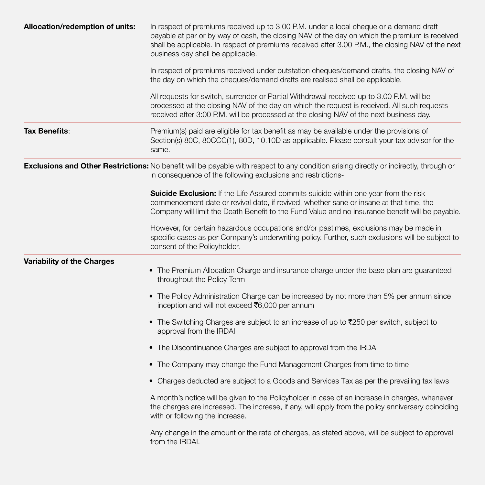| Allocation/redemption of units:   | In respect of premiums received up to 3.00 P.M. under a local cheque or a demand draft<br>payable at par or by way of cash, the closing NAV of the day on which the premium is received<br>shall be applicable. In respect of premiums received after 3.00 P.M., the closing NAV of the next<br>business day shall be applicable. |
|-----------------------------------|-----------------------------------------------------------------------------------------------------------------------------------------------------------------------------------------------------------------------------------------------------------------------------------------------------------------------------------|
|                                   | In respect of premiums received under outstation cheques/demand drafts, the closing NAV of<br>the day on which the cheques/demand drafts are realised shall be applicable.                                                                                                                                                        |
|                                   | All requests for switch, surrender or Partial Withdrawal received up to 3.00 P.M. will be<br>processed at the closing NAV of the day on which the request is received. All such requests<br>received after 3:00 P.M. will be processed at the closing NAV of the next business day.                                               |
| Tax Benefits:                     | Premium(s) paid are eligible for tax benefit as may be available under the provisions of<br>Section(s) 80C, 80CCC(1), 80D, 10.10D as applicable. Please consult your tax advisor for the<br>same.                                                                                                                                 |
|                                   | Exclusions and Other Restrictions: No benefit will be payable with respect to any condition arising directly or indirectly, through or<br>in consequence of the following exclusions and restrictions-                                                                                                                            |
|                                   | Suicide Exclusion: If the Life Assured commits suicide within one year from the risk<br>commencement date or revival date, if revived, whether sane or insane at that time, the<br>Company will limit the Death Benefit to the Fund Value and no insurance benefit will be payable.                                               |
|                                   | However, for certain hazardous occupations and/or pastimes, exclusions may be made in<br>specific cases as per Company's underwriting policy. Further, such exclusions will be subject to<br>consent of the Policyholder.                                                                                                         |
| <b>Variability of the Charges</b> | • The Premium Allocation Charge and insurance charge under the base plan are guaranteed<br>throughout the Policy Term                                                                                                                                                                                                             |
|                                   | • The Policy Administration Charge can be increased by not more than 5% per annum since<br>inception and will not exceed ₹6,000 per annum                                                                                                                                                                                         |
|                                   | • The Switching Charges are subject to an increase of up to ₹250 per switch, subject to<br>approval from the IRDAI                                                                                                                                                                                                                |
|                                   | • The Discontinuance Charges are subject to approval from the IRDAI                                                                                                                                                                                                                                                               |
|                                   | • The Company may change the Fund Management Charges from time to time                                                                                                                                                                                                                                                            |
|                                   | • Charges deducted are subject to a Goods and Services Tax as per the prevailing tax laws                                                                                                                                                                                                                                         |
|                                   | A month's notice will be given to the Policyholder in case of an increase in charges, whenever<br>the charges are increased. The increase, if any, will apply from the policy anniversary coinciding<br>with or following the increase.                                                                                           |
|                                   | Any change in the amount or the rate of charges, as stated above, will be subject to approval<br>from the IRDAI.                                                                                                                                                                                                                  |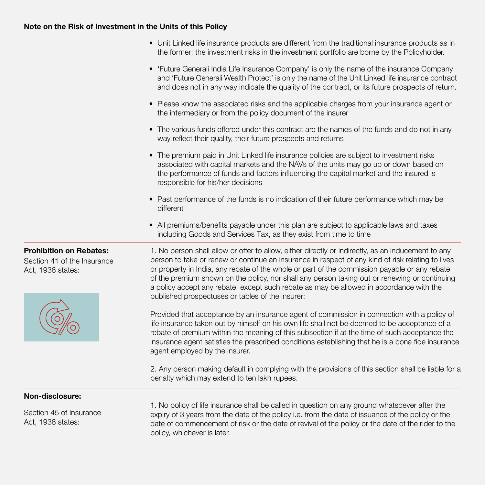# **Note on the Risk of Investment in the Units of this Policy**

| • Unit Linked life insurance products are different from the traditional insurance products as in |
|---------------------------------------------------------------------------------------------------|
| the former; the investment risks in the investment portfolio are borne by the Policyholder.       |

- 'Future Generali India Life Insurance Company' is only the name of the insurance Company and 'Future Generali Wealth Protect' is only the name of the Unit Linked life insurance contract and does not in any way indicate the quality of the contract, or its future prospects of return.
- Please know the associated risks and the applicable charges from your insurance agent or the intermediary or from the policy document of the insurer
- The various funds offered under this contract are the names of the funds and do not in any way reflect their quality, their future prospects and returns
- The premium paid in Unit Linked life insurance policies are subject to investment risks associated with capital markets and the NAVs of the units may go up or down based on the performance of funds and factors influencing the capital market and the insured is responsible for his/her decisions
- Past performance of the funds is no indication of their future performance which may be different
- All premiums/benefits payable under this plan are subject to applicable laws and taxes including Goods and Services Tax, as they exist from time to time

Section 41 of the Insurance Act, 1938 states:



**Prohibition on Rebates:** 1. No person shall allow or offer to allow, either directly or indirectly, as an inducement to any person to take or renew or continue an insurance in respect of any kind of risk relating to lives or property in India, any rebate of the whole or part of the commission payable or any rebate of the premium shown on the policy, nor shall any person taking out or renewing or continuing a policy accept any rebate, except such rebate as may be allowed in accordance with the published prospectuses or tables of the insurer:

> Provided that acceptance by an insurance agent of commission in connection with a policy of life insurance taken out by himself on his own life shall not be deemed to be acceptance of a rebate of premium within the meaning of this subsection if at the time of such acceptance the insurance agent satisfies the prescribed conditions establishing that he is a bona fide insurance agent employed by the insurer.

> 2. Any person making default in complying with the provisions of this section shall be liable for a penalty which may extend to ten lakh rupees.

# **Non-disclosure:**

Section 45 of Insurance Act, 1938 states:

1. No policy of life insurance shall be called in question on any ground whatsoever after the expiry of 3 years from the date of the policy i.e. from the date of issuance of the policy or the date of commencement of risk or the date of revival of the policy or the date of the rider to the policy, whichever is later.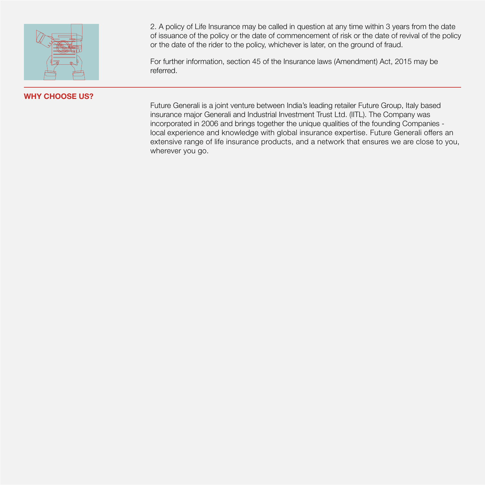

# **WHY CHOOSE US?**

2. A policy of Life Insurance may be called in question at any time within 3 years from the date of issuance of the policy or the date of commencement of risk or the date of revival of the policy or the date of the rider to the policy, whichever is later, on the ground of fraud.

For further information, section 45 of the Insurance laws (Amendment) Act, 2015 may be referred.

Future Generali is a joint venture between India's leading retailer Future Group, Italy based insurance major Generali and Industrial Investment Trust Ltd. (IITL). The Company was incorporated in 2006 and brings together the unique qualities of the founding Companies local experience and knowledge with global insurance expertise. Future Generali offers an extensive range of life insurance products, and a network that ensures we are close to you, wherever you go.